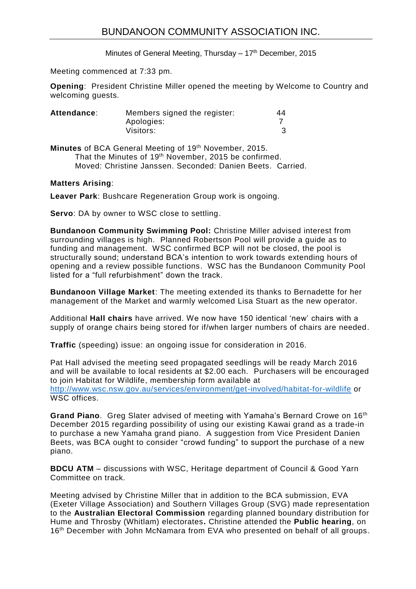Minutes of General Meeting, Thursday  $-17<sup>th</sup>$  December, 2015

Meeting commenced at 7:33 pm.

**Opening**: President Christine Miller opened the meeting by Welcome to Country and welcoming guests.

| Attendance: | Members signed the register: | 44 |
|-------------|------------------------------|----|
|             | Apologies:                   |    |
|             | Visitors:                    |    |

Minutes of BCA General Meeting of 19<sup>th</sup> November, 2015. That the Minutes of 19<sup>th</sup> November, 2015 be confirmed. Moved: Christine Janssen. Seconded: Danien Beets. Carried.

## **Matters Arising**:

**Leaver Park**: Bushcare Regeneration Group work is ongoing.

**Servo**: DA by owner to WSC close to settling.

**Bundanoon Community Swimming Pool:** Christine Miller advised interest from surrounding villages is high. Planned Robertson Pool will provide a guide as to funding and management. WSC confirmed BCP will not be closed, the pool is structurally sound; understand BCA's intention to work towards extending hours of opening and a review possible functions. WSC has the Bundanoon Community Pool listed for a "full refurbishment" down the track.

**Bundanoon Village Market**: The meeting extended its thanks to Bernadette for her management of the Market and warmly welcomed Lisa Stuart as the new operator.

Additional **Hall chairs** have arrived. We now have 150 identical 'new' chairs with a supply of orange chairs being stored for if/when larger numbers of chairs are needed.

**Traffic** (speeding) issue: an ongoing issue for consideration in 2016.

Pat Hall advised the meeting seed propagated seedlings will be ready March 2016 and will be available to local residents at \$2.00 each. Purchasers will be encouraged to join Habitat for Wildlife, membership form available at <http://www.wsc.nsw.gov.au/services/environment/get-involved/habitat-for-wildlife> or WSC offices.

**Grand Piano**. Greg Slater advised of meeting with Yamaha's Bernard Crowe on 16th December 2015 regarding possibility of using our existing Kawai grand as a trade-in to purchase a new Yamaha grand piano. A suggestion from Vice President Danien Beets, was BCA ought to consider "crowd funding" to support the purchase of a new piano.

**BDCU ATM** – discussions with WSC, Heritage department of Council & Good Yarn Committee on track.

Meeting advised by Christine Miller that in addition to the BCA submission, EVA (Exeter Village Association) and Southern Villages Group (SVG) made representation to the **Australian Electoral Commission** regarding planned boundary distribution for Hume and Throsby (Whitlam) electorates**.** Christine attended the **Public hearing**, on 16<sup>th</sup> December with John McNamara from EVA who presented on behalf of all groups.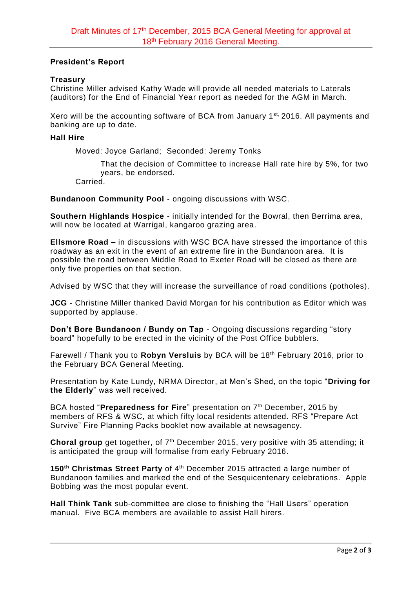# **President's Report**

# **Treasury**

Christine Miller advised Kathy Wade will provide all needed materials to Laterals (auditors) for the End of Financial Year report as needed for the AGM in March.

Xero will be the accounting software of BCA from January 1<sup>st,</sup> 2016. All payments and banking are up to date.

### **Hall Hire**

Moved: Joyce Garland; Seconded: Jeremy Tonks

That the decision of Committee to increase Hall rate hire by 5%, for two years, be endorsed.

Carried.

**Bundanoon Community Pool** - ongoing discussions with WSC.

**Southern Highlands Hospice** - initially intended for the Bowral, then Berrima area, will now be located at Warrigal, kangaroo grazing area.

**Ellsmore Road –** in discussions with WSC BCA have stressed the importance of this roadway as an exit in the event of an extreme fire in the Bundanoon area. It is possible the road between Middle Road to Exeter Road will be closed as there are only five properties on that section.

Advised by WSC that they will increase the surveillance of road conditions (potholes).

**JCG** - Christine Miller thanked David Morgan for his contribution as Editor which was supported by applause.

**Don't Bore Bundanoon / Bundy on Tap - Ongoing discussions regarding "story** board" hopefully to be erected in the vicinity of the Post Office bubblers.

Farewell / Thank you to **Robyn Versluis** by BCA will be 18th February 2016, prior to the February BCA General Meeting.

Presentation by Kate Lundy, NRMA Director, at Men's Shed, on the topic "**Driving for the Elderly**" was well received.

BCA hosted "Preparedness for Fire" presentation on 7<sup>th</sup> December, 2015 by members of RFS & WSC, at which fifty local residents attended. RFS "Prepare Act Survive" Fire Planning Packs booklet now available at newsagency.

**Choral group** get together, of 7<sup>th</sup> December 2015, very positive with 35 attending; it is anticipated the group will formalise from early February 2016.

**150th Christmas Street Party** of 4th December 2015 attracted a large number of Bundanoon families and marked the end of the Sesquicentenary celebrations. Apple Bobbing was the most popular event.

**Hall Think Tank** sub-committee are close to finishing the "Hall Users" operation manual. Five BCA members are available to assist Hall hirers.